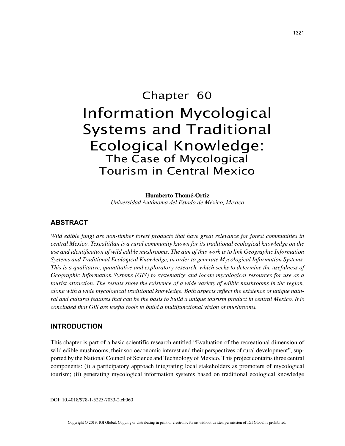# Chapter 60 Information Mycological Systems and Traditional Ecological Knowledge: The Case of Mycological Tourism in Central Mexico

**Humberto Thomé-Ortiz** *Universidad Autónoma del Estado de México, Mexico*

# **ABSTRACT**

*Wild edible fungi are non-timber forest products that have great relevance for forest communities in central Mexico. Texcaltitlán is a rural community known for its traditional ecological knowledge on the use and identification of wild edible mushrooms. The aim of this work is to link Geographic Information Systems and Traditional Ecological Knowledge, in order to generate Mycological Information Systems. This is a qualitative, quantitative and exploratory research, which seeks to determine the usefulness of Geographic Information Systems (GIS) to systematize and locate mycological resources for use as a tourist attraction. The results show the existence of a wide variety of edible mushrooms in the region, along with a wide mycological traditional knowledge. Both aspects reflect the existence of unique natural and cultural features that can be the basis to build a unique tourism product in central Mexico. It is concluded that GIS are useful tools to build a multifunctional vision of mushrooms.*

#### **INTRODUCTION**

This chapter is part of a basic scientific research entitled "Evaluation of the recreational dimension of wild edible mushrooms, their socioeconomic interest and their perspectives of rural development", supported by the National Council of Science and Technology of Mexico. This project contains three central components: (i) a participatory approach integrating local stakeholders as promoters of mycological tourism; (ii) generating mycological information systems based on traditional ecological knowledge

DOI: 10.4018/978-1-5225-7033-2.ch060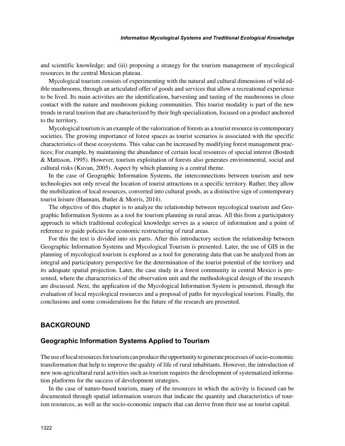and scientific knowledge; and (iii) proposing a strategy for the tourism management of mycological resources in the central Mexican plateau.

Mycological tourism consists of experimenting with the natural and cultural dimensions of wild edible mushrooms, through an articulated offer of goods and services that allow a recreational experience to be lived. Its main activities are the identification, harvesting and tasting of the mushrooms in close contact with the nature and mushroom picking communities. This tourist modality is part of the new trends in rural tourism that are characterized by their high specialization, focused on a product anchored to the territory.

Mycological tourism is an example of the valorization of forests as a tourist resource in contemporary societies. The growing importance of forest spaces as tourist scenarios is associated with the specific characteristics of these ecosystems. This value can be increased by modifying forest management practices; For example, by maintaining the abundance of certain local resources of special interest (Bostedt & Mattsson, 1995). However, tourism exploitation of forests also generates environmental, social and cultural risks (Kuvan, 2005). Aspect by which planning is a central theme.

In the case of Geographic Information Systems, the interconnections between tourism and new technologies not only reveal the location of tourist attractions in a specific territory. Rather, they allow the mobilization of local resources, converted into cultural goods, as a distinctive sign of contemporary tourist leisure (Hannam, Butler & Morris, 2014).

The objective of this chapter is to analyze the relationship between mycological tourism and Geographic Information Systems as a tool for tourism planning in rural areas. All this from a participatory approach in which traditional ecological knowledge serves as a source of information and a point of reference to guide policies for economic restructuring of rural areas.

For this the text is divided into six parts. After this introductory section the relationship between Geographic Information Systems and Mycological Tourism is presented. Later, the use of GIS in the planning of mycological tourism is explored as a tool for generating data that can be analyzed from an integral and participatory perspective for the determination of the tourist potential of the territory and its adequate spatial projection. Later, the case study in a forest community in central Mexico is presented, where the characteristics of the observation unit and the methodological design of the research are discussed. Next, the application of the Mycological Information System is presented, through the evaluation of local mycological resources and a proposal of paths for mycological tourism. Finally, the conclusions and some considerations for the future of the research are presented.

## **BACKGROUND**

## **Geographic Information Systems Applied to Tourism**

The use of local resources for tourism can produce the opportunity to generate processes of socio-economic transformation that help to improve the quality of life of rural inhabitants. However, the introduction of new non-agricultural rural activities such as tourism requires the development of systematized information platforms for the success of development strategies.

In the case of nature-based tourism, many of the resources in which the activity is focused can be documented through spatial information sources that indicate the quantity and characteristics of tourism resources, as well as the socio-economic impacts that can derive from their use as tourist capital.